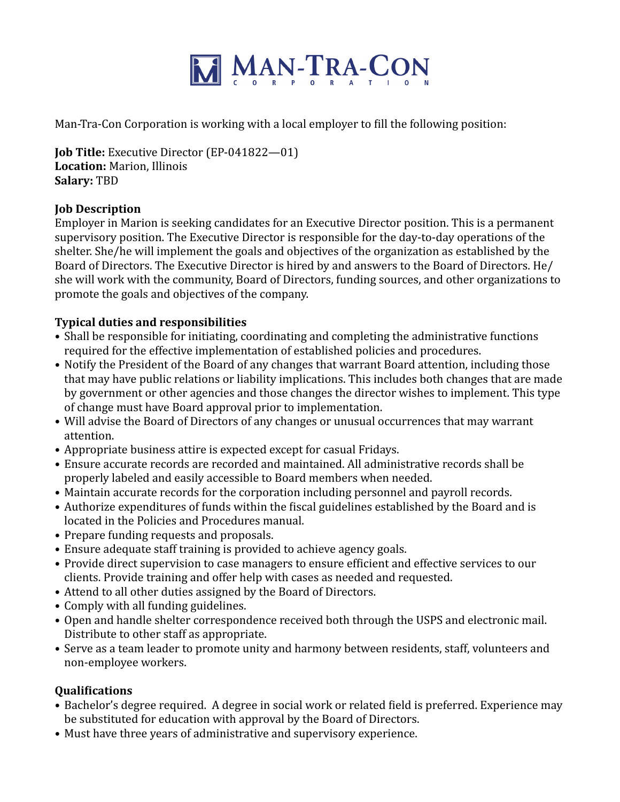

Man-Tra-Con Corporation is working with a local employer to fill the following position:

**Job Title:** Executive Director (EP-041822—01) **Location:** Marion, Illinois **Salary:** TBD

## **Job Description**

Employer in Marion is seeking candidates for an Executive Director position. This is a permanent supervisory position. The Executive Director is responsible for the day-to-day operations of the shelter. She/he will implement the goals and objectives of the organization as established by the Board of Directors. The Executive Director is hired by and answers to the Board of Directors. He/ she will work with the community, Board of Directors, funding sources, and other organizations to promote the goals and objectives of the company.

## **Typical duties and responsibilities**

- Shall be responsible for initiating, coordinating and completing the administrative functions required for the effective implementation of established policies and procedures.
- Notify the President of the Board of any changes that warrant Board attention, including those that may have public relations or liability implications. This includes both changes that are made by government or other agencies and those changes the director wishes to implement. This type of change must have Board approval prior to implementation.
- Will advise the Board of Directors of any changes or unusual occurrences that may warrant attention.
- Appropriate business attire is expected except for casual Fridays.
- Ensure accurate records are recorded and maintained. All administrative records shall be properly labeled and easily accessible to Board members when needed.
- Maintain accurate records for the corporation including personnel and payroll records.
- Authorize expenditures of funds within the fiscal guidelines established by the Board and is located in the Policies and Procedures manual.
- Prepare funding requests and proposals.
- Ensure adequate staff training is provided to achieve agency goals.
- Provide direct supervision to case managers to ensure efficient and effective services to our clients. Provide training and offer help with cases as needed and requested.
- Attend to all other duties assigned by the Board of Directors.
- Comply with all funding guidelines.
- Open and handle shelter correspondence received both through the USPS and electronic mail. Distribute to other staff as appropriate.
- Serve as a team leader to promote unity and harmony between residents, staff, volunteers and non-employee workers.

# **Qualifications**

- Bachelor's degree required. A degree in social work or related field is preferred. Experience may be substituted for education with approval by the Board of Directors.
- Must have three years of administrative and supervisory experience.